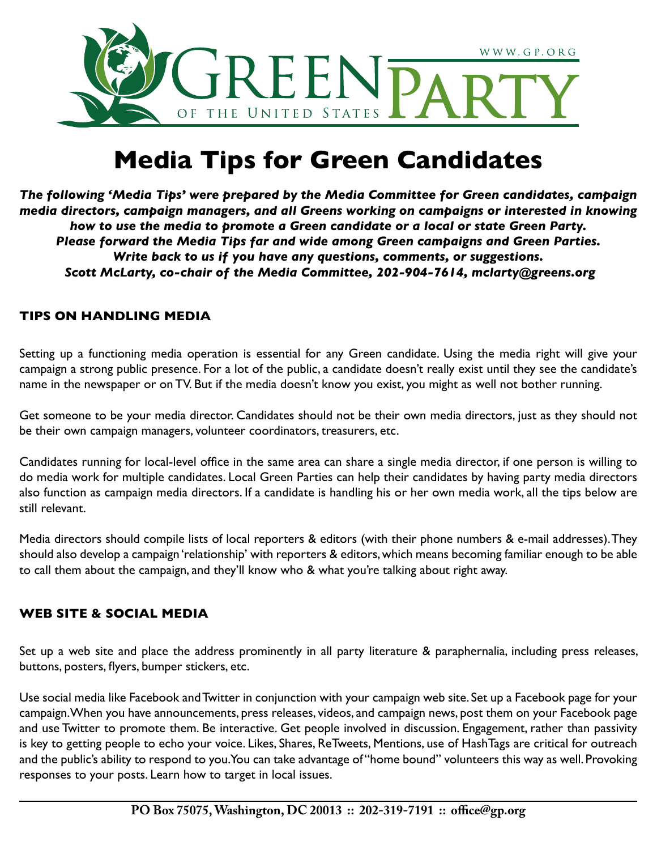

# **Media Tips for Green Candidates**

*The following 'Media Tips' were prepared by the Media Committee for Green candidates, campaign media directors, campaign managers, and all Greens working on campaigns or interested in knowing how to use the media to promote a Green candidate or a local or state Green Party. Please forward the Media Tips far and wide among Green campaigns and Green Parties. Write back to us if you have any questions, comments, or suggestions. Scott McLarty, co-chair of the Media Committee, 202-904-7614, [mclarty@greens.org](mailto:mclarty@greens.org)*

# **TIPS ON HANDLING MEDIA**

Setting up a functioning media operation is essential for any Green candidate. Using the media right will give your campaign a strong public presence. For a lot of the public, a candidate doesn't really exist until they see the candidate's name in the newspaper or on TV. But if the media doesn't know you exist, you might as well not bother running.

Get someone to be your media director. Candidates should not be their own media directors, just as they should not be their own campaign managers, volunteer coordinators, treasurers, etc.

Candidates running for local-level office in the same area can share a single media director, if one person is willing to do media work for multiple candidates. Local Green Parties can help their candidates by having party media directors also function as campaign media directors. If a candidate is handling his or her own media work, all the tips below are still relevant.

Media directors should compile lists of local reporters & editors (with their phone numbers & e-mail addresses). They should also develop a campaign 'relationship' with reporters & editors, which means becoming familiar enough to be able to call them about the campaign, and they'll know who & what you're talking about right away.

## **WEB SITE & SOCIAL MEDIA**

Set up a web site and place the address prominently in all party literature & paraphernalia, including press releases, buttons, posters, flyers, bumper stickers, etc.

Use social media like Facebook and Twitter in conjunction with your campaign web site. Set up a Facebook page for your campaign. When you have announcements, press releases, videos, and campaign news, post them on your Facebook page and use Twitter to promote them. Be interactive. Get people involved in discussion. Engagement, rather than passivity is key to getting people to echo your voice. Likes, Shares, ReTweets, Mentions, use of HashTags are critical for outreach and the public's ability to respond to you. You can take advantage of "home bound" volunteers this way as well. Provoking responses to your posts. Learn how to target in local issues.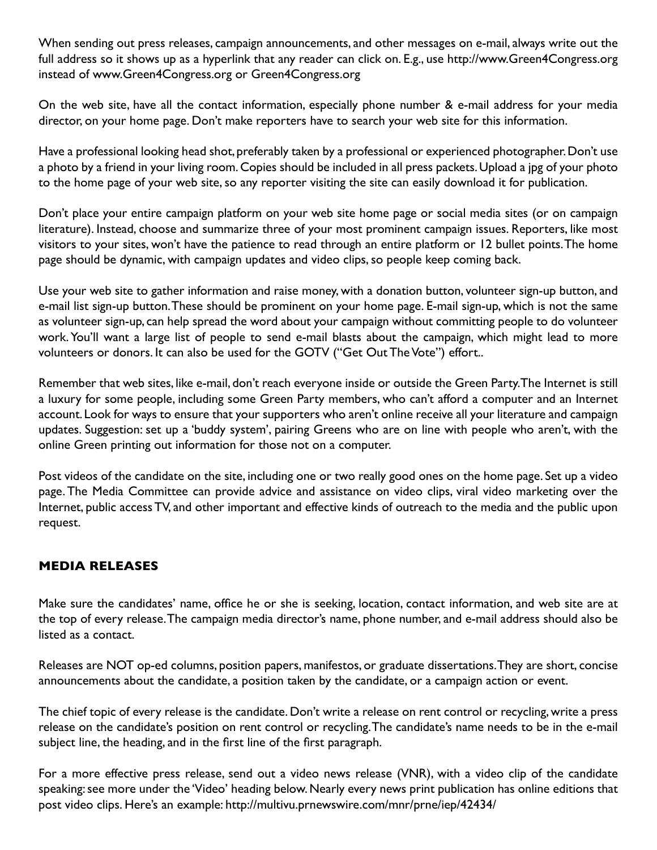When sending out press releases, campaign announcements, and other messages on e-mail, always write out the full address so it shows up as a hyperlink that any reader can click on. E.g., use http://www.Green4Congress.org instead of [www.Green4Congress.org or](http://www.Green4Congress.org) Green4Congress.org

On the web site, have all the contact information, especially phone number & e-mail address for your media director, on your home page. Don't make reporters have to search your web site for this information.

Have a professional looking head shot, preferably taken by a professional or experienced photographer. Don't use a photo by a friend in your living room. Copies should be included in all press packets. Upload a jpg of your photo to the home page of your web site, so any reporter visiting the site can easily download it for publication.

Don't place your entire campaign platform on your web site home page or social media sites (or on campaign literature). Instead, choose and summarize three of your most prominent campaign issues. Reporters, like most visitors to your sites, won't have the patience to read through an entire platform or 12 bullet points. The home page should be dynamic, with campaign updates and video clips, so people keep coming back.

Use your web site to gather information and raise money, with a donation button, volunteer sign-up button, and e-mail list sign-up button. These should be prominent on your home page. E-mail sign-up, which is not the same as volunteer sign-up, can help spread the word about your campaign without committing people to do volunteer work. You'll want a large list of people to send e-mail blasts about the campaign, which might lead to more volunteers or donors. It can also be used for the GOTV ("Get Out The Vote") effort..

Remember that web sites, like e-mail, don't reach everyone inside or outside the Green Party. The Internet is still a luxury for some people, including some Green Party members, who can't afford a computer and an Internet account. Look for ways to ensure that your supporters who aren't online receive all your literature and campaign updates. Suggestion: set up a 'buddy system', pairing Greens who are on line with people who aren't, with the online Green printing out information for those not on a computer.

Post videos of the candidate on the site, including one or two really good ones on the home page. Set up a video page. The Media Committee can provide advice and assistance on video clips, viral video marketing over the Internet, public access TV, and other important and effective kinds of outreach to the media and the public upon request.

## **MEDIA RELEASES**

Make sure the candidates' name, office he or she is seeking, location, contact information, and web site are at the top of every release. The campaign media director's name, phone number, and e-mail address should also be listed as a contact.

Releases are NOT op-ed columns, position papers, manifestos, or graduate dissertations. They are short, concise announcements about the candidate, a position taken by the candidate, or a campaign action or event.

The chief topic of every release is the candidate. Don't write a release on rent control or recycling, write a press release on the candidate's position on rent control or recycling. The candidate's name needs to be in the e-mail subject line, the heading, and in the first line of the first paragraph.

For a more effective press release, send out a video news release (VNR), with a video clip of the candidate speaking: see more under the 'Video' heading below. Nearly every news print publication has online editions that post video clips. Here's an example: [http://multivu.prnewswire.com/mnr/prne/iep/42434/](http://multivu.prnewswire.com/mnr/prne/iep/42434)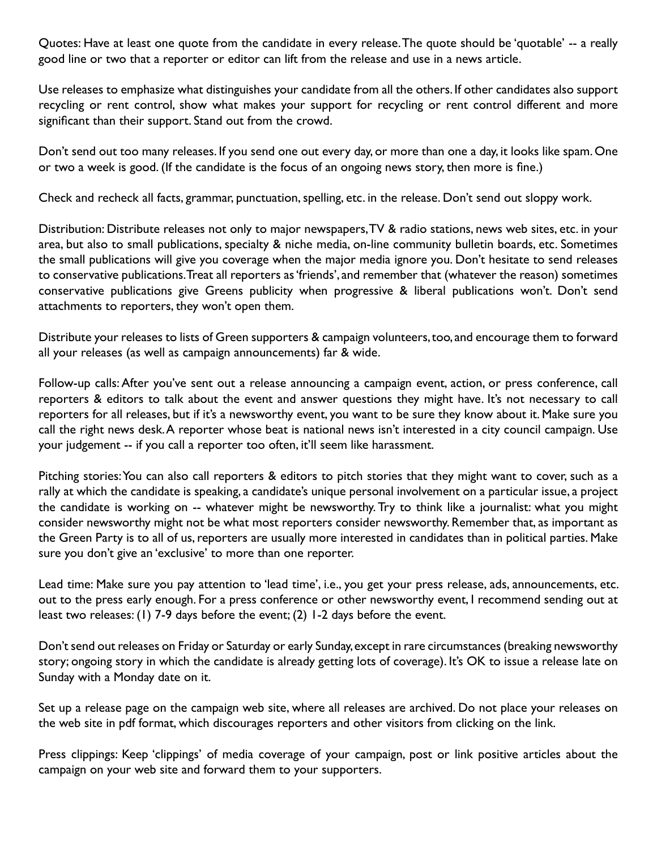Quotes: Have at least one quote from the candidate in every release. The quote should be 'quotable' -- a really good line or two that a reporter or editor can lift from the release and use in a news article.

Use releases to emphasize what distinguishes your candidate from all the others. If other candidates also support recycling or rent control, show what makes your support for recycling or rent control different and more significant than their support. Stand out from the crowd.

Don't send out too many releases. If you send one out every day, or more than one a day, it looks like spam. One or two a week is good. (If the candidate is the focus of an ongoing news story, then more is fine.)

Check and recheck all facts, grammar, punctuation, spelling, etc. in the release. Don't send out sloppy work.

Distribution: Distribute releases not only to major newspapers, TV & radio stations, news web sites, etc. in your area, but also to small publications, specialty & niche media, on-line community bulletin boards, etc. Sometimes the small publications will give you coverage when the major media ignore you. Don't hesitate to send releases to conservative publications. Treat all reporters as 'friends', and remember that (whatever the reason) sometimes conservative publications give Greens publicity when progressive & liberal publications won't. Don't send attachments to reporters, they won't open them.

Distribute your releases to lists of Green supporters & campaign volunteers, too, and encourage them to forward all your releases (as well as campaign announcements) far & wide.

Follow-up calls: After you've sent out a release announcing a campaign event, action, or press conference, call reporters & editors to talk about the event and answer questions they might have. It's not necessary to call reporters for all releases, but if it's a newsworthy event, you want to be sure they know about it. Make sure you call the right news desk. A reporter whose beat is national news isn't interested in a city council campaign. Use your judgement -- if you call a reporter too often, it'll seem like harassment.

Pitching stories: You can also call reporters & editors to pitch stories that they might want to cover, such as a rally at which the candidate is speaking, a candidate's unique personal involvement on a particular issue, a project the candidate is working on -- whatever might be newsworthy. Try to think like a journalist: what you might consider newsworthy might not be what most reporters consider newsworthy. Remember that, as important as the Green Party is to all of us, reporters are usually more interested in candidates than in political parties. Make sure you don't give an 'exclusive' to more than one reporter.

Lead time: Make sure you pay attention to 'lead time', i.e., you get your press release, ads, announcements, etc. out to the press early enough. For a press conference or other newsworthy event, I recommend sending out at least two releases: (1) 7-9 days before the event; (2) 1-2 days before the event.

Don't send out releases on Friday or Saturday or early Sunday, except in rare circumstances (breaking newsworthy story; ongoing story in which the candidate is already getting lots of coverage). It's OK to issue a release late on Sunday with a Monday date on it.

Set up a release page on the campaign web site, where all releases are archived. Do not place your releases on the web site in pdf format, which discourages reporters and other visitors from clicking on the link.

Press clippings: Keep 'clippings' of media coverage of your campaign, post or link positive articles about the campaign on your web site and forward them to your supporters.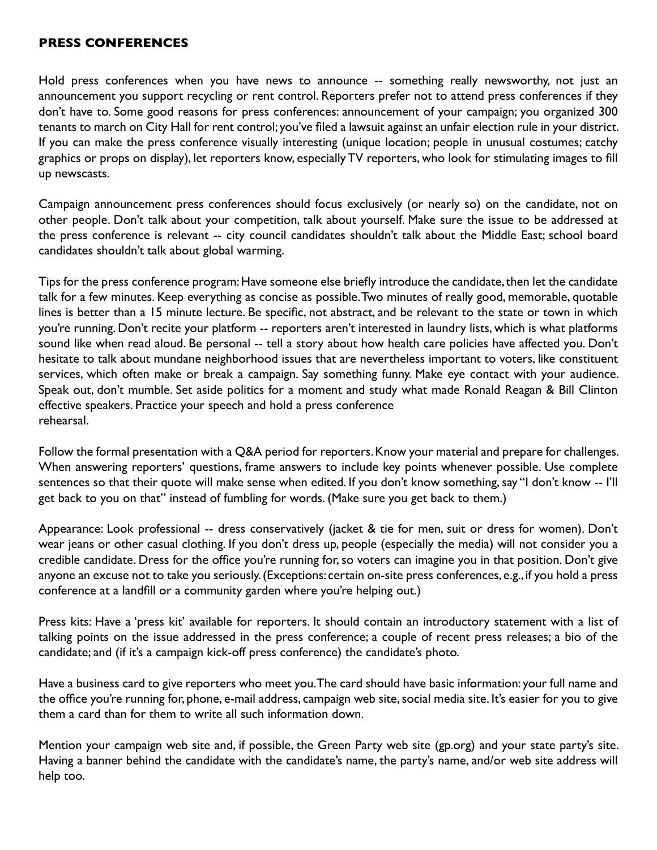#### **PRESS CONFERENCES**

Hold press conferences when you have news to announce -- something really newsworthy, not just an announcement you support recycling or rent control. Reporters prefer not to attend press conferences if they don't have to. Some good reasons for press conferences: announcement of your campaign; you organized 300 tenants to march on City Hall for rent control; you've filed a lawsuit against an unfair election rule in your district. If you can make the press conference visually interesting (unique location; people in unusual costumes; catchy graphics or props on display), let reporters know, especially TV reporters, who look for stimulating images to fill up newscasts.

Campaign announcement press conferences should focus exclusively (or nearly so) on the candidate, not on other people. Don't talk about your competition, talk about yourself. Make sure the issue to be addressed at the press conference is relevant -- city council candidates shouldn't talk about the Middle East; school board candidates shouldn't talk about global warming.

Tips for the press conference program: Have someone else briefly introduce the candidate, then let the candidate talk for a few minutes. Keep everything as concise as possible. Two minutes of really good, memorable, quotable lines is better than a 15 minute lecture. Be specific, not abstract, and be relevant to the state or town in which you're running. Don't recite your platform -- reporters aren't interested in laundry lists, which is what platforms sound like when read aloud. Be personal -- tell a story about how health care policies have affected you. Don't hesitate to talk about mundane neighborhood issues that are nevertheless important to voters, like constituent services, which often make or break a campaign. Say something funny. Make eye contact with your audience. Speak out, don't mumble. Set aside politics for a moment and study what made Ronald Reagan & Bill Clinton effective speakers. Practice your speech and hold a press conference rehearsal.

Follow the formal presentation with a Q&A period for reporters. Know your material and prepare for challenges. When answering reporters' questions, frame answers to include key points whenever possible. Use complete sentences so that their quote will make sense when edited. If you don't know something, say "I don't know -- I'll get back to you on that" instead of fumbling for words. (Make sure you get back to them.)

Appearance: Look professional -- dress conservatively (jacket & tie for men, suit or dress for women). Don't wear jeans or other casual clothing. If you don't dress up, people (especially the media) will not consider you a credible candidate. Dress for the office you're running for, so voters can imagine you in that position. Don't give anyone an excuse not to take you seriously. (Exceptions: certain on-site press conferences, e.g., if you hold a press conference at a landfill or a community garden where you're helping out.)

Press kits: Have a 'press kit' available for reporters. It should contain an introductory statement with a list of talking points on the issue addressed in the press conference; a couple of recent press releases; a bio of the candidate; and (if it's a campaign kick-off press conference) the candidate's photo.

Have a business card to give reporters who meet you. The card should have basic information: your full name and the office you're running for, phone, e-mail address, campaign web site, social media site. It's easier for you to give them a card than for them to write all such information down.

Mention your campaign web site and, if possible, the Green Party web site (gp.org) and your state party's site. Having a banner behind the candidate with the candidate's name, the party's name, and/or web site address will help too.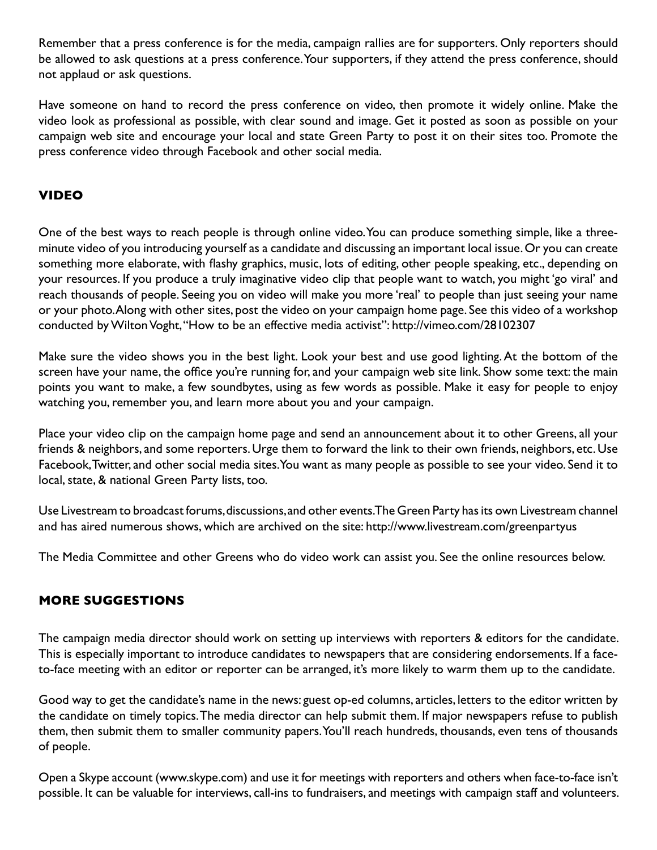Remember that a press conference is for the media, campaign rallies are for supporters. Only reporters should be allowed to ask questions at a press conference. Your supporters, if they attend the press conference, should not applaud or ask questions.

Have someone on hand to record the press conference on video, then promote it widely online. Make the video look as professional as possible, with clear sound and image. Get it posted as soon as possible on your campaign web site and encourage your local and state Green Party to post it on their sites too. Promote the press conference video through Facebook and other social media.

## **VIDEO**

One of the best ways to reach people is through online video. You can produce something simple, like a threeminute video of you introducing yourself as a candidate and discussing an important local issue. Or you can create something more elaborate, with flashy graphics, music, lots of editing, other people speaking, etc., depending on your resources. If you produce a truly imaginative video clip that people want to watch, you might 'go viral' and reach thousands of people. Seeing you on video will make you more 'real' to people than just seeing your name or your photo. Along with other sites, post the video on your campaign home page. See this video of a workshop conducted by Wilton Voght, "How to be an effective media activist":<http://vimeo.com/28102307>

Make sure the video shows you in the best light. Look your best and use good lighting. At the bottom of the screen have your name, the office you're running for, and your campaign web site link. Show some text: the main points you want to make, a few soundbytes, using as few words as possible. Make it easy for people to enjoy watching you, remember you, and learn more about you and your campaign.

Place your video clip on the campaign home page and send an announcement about it to other Greens, all your friends & neighbors, and some reporters. Urge them to forward the link to their own friends, neighbors, etc. Use Facebook, Twitter, and other social media sites. You want as many people as possible to see your video. Send it to local, state, & national Green Party lists, too.

Use Livestream to broadcast forums, discussions, and other events. The Green Party has its own Livestream channel and has aired numerous shows, which are archived on the site:<http://www.livestream.com/greenpartyus>

The Media Committee and other Greens who do video work can assist you. See the online resources below.

# **MORE SUGGESTIONS**

The campaign media director should work on setting up interviews with reporters & editors for the candidate. This is especially important to introduce candidates to newspapers that are considering endorsements. If a faceto-face meeting with an editor or reporter can be arranged, it's more likely to warm them up to the candidate.

Good way to get the candidate's name in the [news: guest op](news:guest)-ed columns, articles, letters to the editor written by the candidate on timely topics. The media director can help submit them. If major newspapers refuse to publish them, then submit them to smaller community papers. You'll reach hundreds, thousands, even tens of thousands of people.

Open a Skype account ([www.skype.com\)](http://www.skype.com) and use it for meetings with reporters and others when face-to-face isn't possible. It can be valuable for interviews, call-ins to fundraisers, and meetings with campaign staff and volunteers.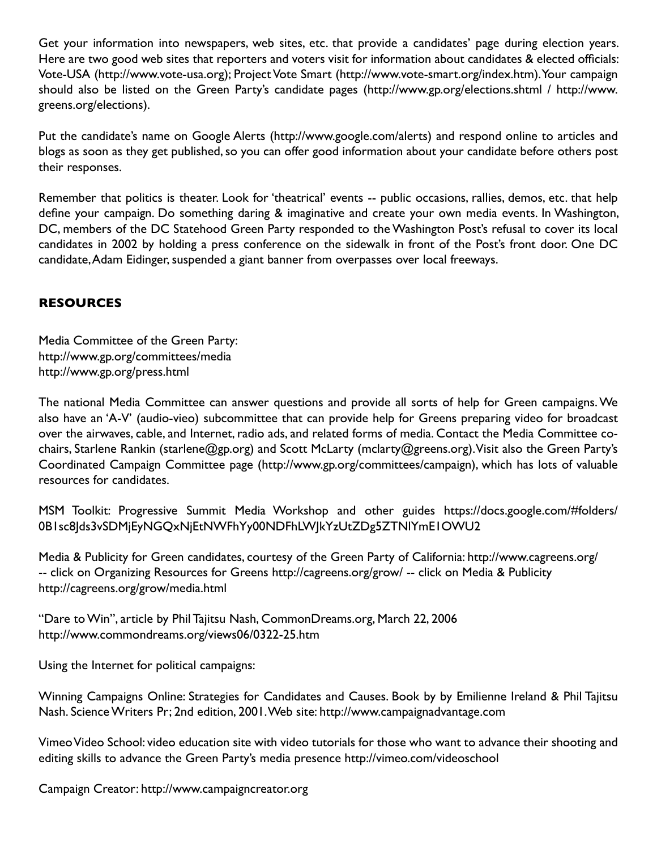Get your information into newspapers, web sites, etc. that provide a candidates' page during election years. Here are two good web sites that reporters and voters visit for information about candidates & elected officials: Vote-USA (<http://www.vote-usa.org>); Project Vote Smart (<http://www.vote-smart.org/index.htm>). Your campaign should also be listed on the Green Party's candidate pages ([http://www.gp.org/elections.shtml / htt](http://www.vote-smart.org/index.htm)[p://ww](http://www.gp.org/elections.shtml/www.greens.org/elections)w. [greens.org/election](http://www.gp.org/elections.shtml/www.greens.org/elections)s).

Put the candidate's name on Google Alerts [\(http://www.google.com/alerts\)](http://www.google.com/alerts) and respond online to articles and blogs as soon as they get published, so you can offer good information about your candidate before others post their responses.

Remember that politics is theater. Look for 'theatrical' events -- public occasions, rallies, demos, etc. that help define your campaign. Do something daring & imaginative and create your own media events. In Washington, DC, members of the DC Statehood Green Party responded to the Washington Post's refusal to cover its local candidates in 2002 by holding a press conference on the sidewalk in front of the Post's front door. One DC candidate, Adam Eidinger, suspended a giant banner from overpasses over local freeways.

# **RESOURCES**

Media Committee of the Green Party: <http://www.gp.org/committees/media> <http://www.gp.org/press.html>

The national Media Committee can answer questions and provide all sorts of help for Green campaigns. We also have an 'A-V' (audio-vieo) subcommittee that can provide help for Greens preparing video for broadcast over the airwaves, cable, and Internet, radio ads, and related forms of media. Contact the Media Committee cochairs, Starlene Rankin [\(starlene@gp.org\)](mailto:starlene@gp.org) and Scott McLarty [\(mclarty@greens.org\). Vis](mailto:mclarty@greens.org)it also the Green Party's Coordinated Campaign Committee page [\(http://www.gp.org/committees/campaign\), wh](http://www.gp.org/committees/campaign)ich has lots of valuable resources for candidates.

MSM Toolkit: Progressive Summit Media Workshop and other guides [https://docs.google.com/#folders/](https://docs.google.com/#folders) 0B1sc8Jds3vSDMjEyNGQxNjEtNWFhYy00NDFhLWJkYzUtZDg5ZTNlYmE1OWU2

Media & Publicity for Green candidates, courtesy of the Green Party of California: [http://www.cagreens.org/](http://www.cagreens.org)  -- click on Organizing Resources for Greens [http://cagreens.org/grow/](http://cagreens.org/grow) -- click on Media & Publicity <http://cagreens.org/grow/media.html>

"Dare to Win", article by Phil Tajitsu Nash, CommonDreams.org, March 22, 2006 <http://www.commondreams.org/views06/0322-25.htm>

Using the Internet for political campaigns:

Winning Campaigns Online: Strategies for Candidates and Causes. Book by by Emilienne Ireland & Phil Tajitsu Nash. Science Writers Pr; 2nd edition, 2001. Web site: <http://www.campaignadvantage.com>

Vimeo Video School: video education site with video tutorials for those who want to advance their shooting and editing skills to advance the Green Party's media presence<http://vimeo.com/videoschool>

Campaign Creator: <http://www.campaigncreator.org>